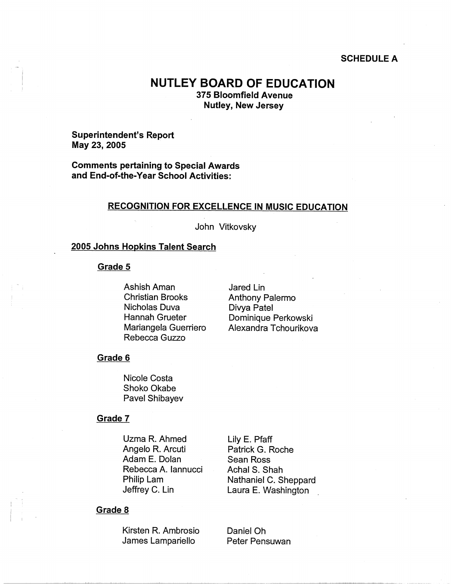#### **SCHEDULE A**

# **NUTLEY BOARD OF EDUCATION**

**375 Bloomfield Avenue Nutley, New Jersey** 

#### **Superintendent's Report May 23, 2005**

**Comments pertaining to Special Awards and End-of-the-Year School Activities:** 

#### **RECOGNITION FOR EXCELLENCE IN MUSIC EDUCATION**

John Vitkovsky

#### **2005 Johns Hopkins Talent Search**

#### **Grade 5**

Ashish Aman Christian Brooks Nicholas Duva Hannah Grueter Mariangela Guerriero Rebecca Guzzo

Jared Lin Anthony Palermo Divya Patel Dominique Perkowski Alexandra Tchourikova

### **Grade 6**

Nicole Costa Shoko Okabe Pavel Shibayev

#### **Grade 7**

Uzma R. Ahmed Angelo R. Arcuti Adam E. Dolan Rebecca A. Iannucci Philip Lam Jeffrey C. Lin

Patrick G. Roche Sean Ross Achal S. Shah Nathaniel C. Sheppard Laura E. Washington .

Lily E. Pfaff

#### **Grade 8**

 $\begin{pmatrix} 1 & 1 \\ 1 & 1 \end{pmatrix}$ 

Kirsten R. Ambrosio James Lampariello

Daniel Oh Peter Pensuwan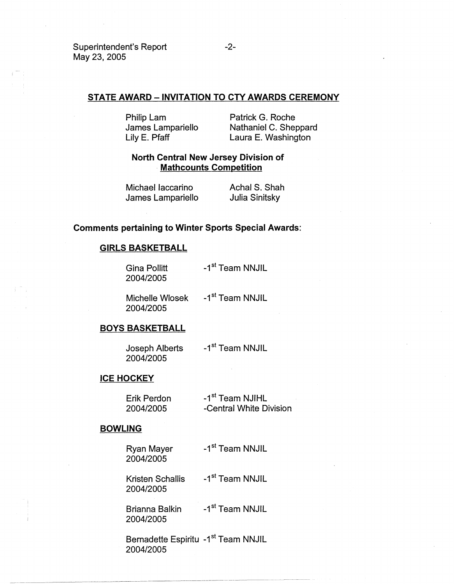# **STATE AWARD-INVITATION TO CTY AWARDS CEREMONY**

Philip Lam James Lampariello Lily E. Pfaff

Patrick G. Roche Nathaniel C. Sheppard Laura E. Washington

# **North Central New Jersey Division of Mathcounts Competition**

| Michael laccarino | Achal S. Shah  |
|-------------------|----------------|
| James Lampariello | Julia Sinitsky |

### **Comments pertaining to Winter Sports Special Awards:**

## **GIRLS BASKETBALL**

Gina Pollitt -1<sup>st</sup> Team NNJIL 2004/2005

Michelle Wlosek -1<sup>st</sup> Team NNJIL 2004/2005

# **BOYS BASKETBALL**

Joseph Alberts 2004/2005 -1<sup>st</sup> Team NNJIL

#### **ICE HOCKEY**

| Erik Perdon | -1 <sup>st</sup> Team NJIHL |
|-------------|-----------------------------|
| 2004/2005   | -Central White Division     |

#### **BOWLING**

Ryan Mayer 2004/2005 -1<sup>st</sup> Team NNJIL

Kristen Schallis 2004/2005 -1<sup>st</sup> Team NNJIL

Brianna Balkin 2004/2005 -1<sup>st</sup> Team NNJIL

Bernadette Espiritu -1<sup>st</sup> Team NNJIL 2004/2005

~~~-~~~~- - ~----~------- - -----~-- - ---- -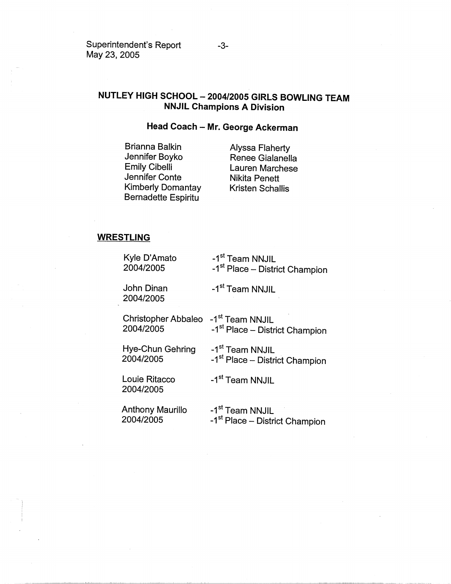Superintendent's Report -3-May 23, 2005

# **NUTLEY HIGH SCHOOL - 2004/2005 GIRLS BOWLING TEAM NNJIL Champions A Division**

# **Head Coach - Mr. George Ackerman**

Brianna Balkin Jennifer Boyko Emily Cibelli Jennifer Conte Kimberly Domantay Bernadette Espiritu

Alyssa Flaherty Renee Gialanella Lauren Marchese Nikita Penett Kristen Schallis

## **WRESTLING**

| Kyle D'Amato               | -1 <sup>st</sup> Team NNJIL                |
|----------------------------|--------------------------------------------|
| 2004/2005                  | -1 <sup>st</sup> Place – District Champion |
| John Dinan<br>2004/2005    | -1 <sup>st</sup> Team NNJIL                |
| Christopher Abbaleo        | -1 <sup>st</sup> Team NNJIL                |
| 2004/2005                  | -1 <sup>st</sup> Place – District Champion |
| Hye-Chun Gehring           | -1 <sup>st</sup> Team NNJIL                |
| 2004/2005                  | -1 <sup>st</sup> Place – District Champion |
| Louie Ritacco<br>2004/2005 | -1 <sup>st</sup> Team NNJIL                |
| Anthony Maurillo           | -1 <sup>st</sup> Team NNJIL                |
| 2004/2005                  | -1 <sup>st</sup> Place – District Champion |